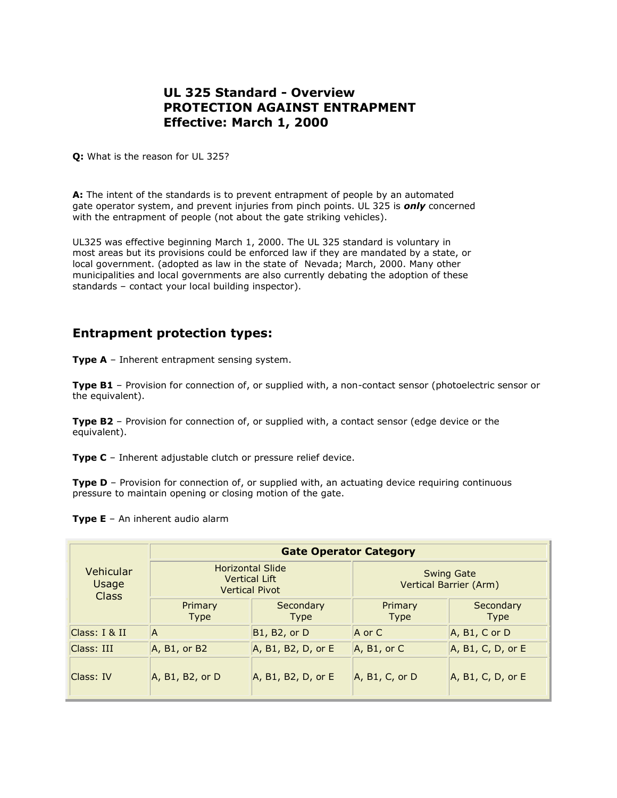## **UL 325 Standard - Overview PROTECTION AGAINST ENTRAPMENT Effective: March 1, 2000**

**Q:** What is the reason for UL 325?

**A:** The intent of the standards is to prevent entrapment of people by an automated gate operator system, and prevent injuries from pinch points. UL 325 is *only* concerned with the entrapment of people (not about the gate striking vehicles).

UL325 was effective beginning March 1, 2000. The UL 325 standard is voluntary in most areas but its provisions could be enforced law if they are mandated by a state, or local government. (adopted as law in the state of Nevada; March, 2000. Many other municipalities and local governments are also currently debating the adoption of these standards – contact your local building inspector).

## **Entrapment protection types:**

**Type A** – Inherent entrapment sensing system.

**Type B1** – Provision for connection of, or supplied with, a non-contact sensor (photoelectric sensor or the equivalent).

**Type B2** – Provision for connection of, or supplied with, a contact sensor (edge device or the equivalent).

**Type C** – Inherent adjustable clutch or pressure relief device.

**Type D** – Provision for connection of, or supplied with, an actuating device requiring continuous pressure to maintain opening or closing motion of the gate.

**Type E** – An inherent audio alarm

| Vehicular<br>Usage<br><b>Class</b> | <b>Gate Operator Category</b>                                            |                          |                                             |                          |
|------------------------------------|--------------------------------------------------------------------------|--------------------------|---------------------------------------------|--------------------------|
|                                    | <b>Horizontal Slide</b><br><b>Vertical Lift</b><br><b>Vertical Pivot</b> |                          | <b>Swing Gate</b><br>Vertical Barrier (Arm) |                          |
|                                    | Primary<br><b>Type</b>                                                   | Secondary<br><b>Type</b> | Primary<br><b>Type</b>                      | Secondary<br><b>Type</b> |
| Class: I & II                      | A                                                                        | B1, B2, or D             | $A$ or $C$                                  | $A, B1, C$ or $D$        |
| Class: III                         | A, B1, or B2                                                             | A, B1, B2, D, or E       | A, B1, or C                                 | $A, B1, C, D,$ or E      |
| Class: IV                          | A, B1, B2, or D                                                          | A, B1, B2, D, or E       | A, B1, C, or D                              | A, B1, C, D, or E        |